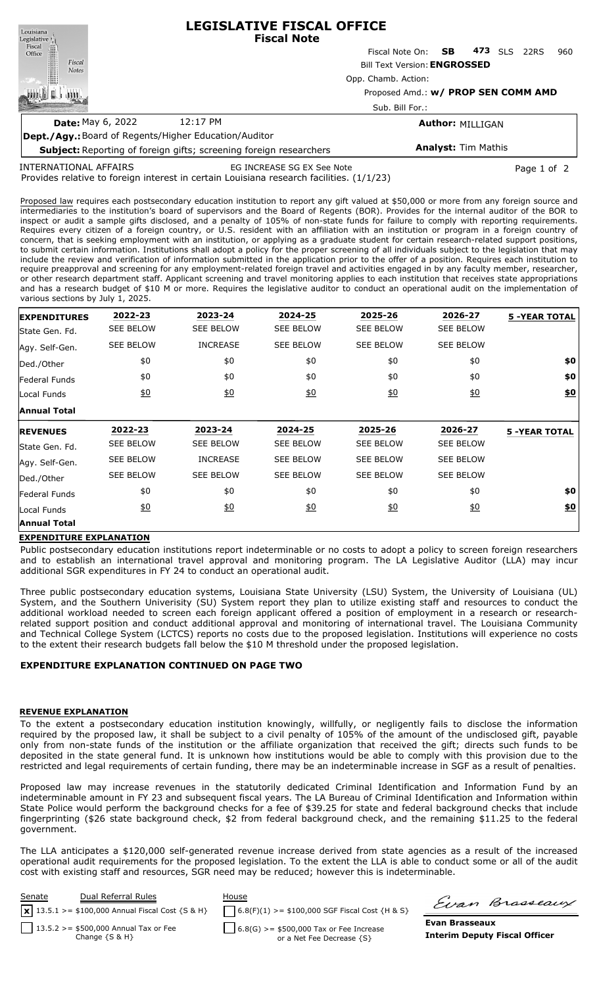| Louisiana                                                                 | <b>LEGISLATIVE FISCAL OFFICE</b><br><b>Fiscal Note</b> |                           |  |     |            |      |     |  |  |  |  |
|---------------------------------------------------------------------------|--------------------------------------------------------|---------------------------|--|-----|------------|------|-----|--|--|--|--|
|                                                                           |                                                        | Fiscal Note On: <b>SB</b> |  | 473 | <b>SLS</b> | 22RS | 960 |  |  |  |  |
| Legislative<br>Fiscal<br>Office<br>Fiscal<br><b>Notes</b>                 | <b>Bill Text Version: ENGROSSED</b>                    |                           |  |     |            |      |     |  |  |  |  |
|                                                                           | Opp. Chamb. Action:                                    |                           |  |     |            |      |     |  |  |  |  |
|                                                                           | Proposed Amd.: w/ PROP SEN COMM AMD                    |                           |  |     |            |      |     |  |  |  |  |
|                                                                           | Sub. Bill For.:                                        |                           |  |     |            |      |     |  |  |  |  |
| <b>Date: May 6, 2022</b>                                                  | 12:17 PM                                               | <b>Author: MILLIGAN</b>   |  |     |            |      |     |  |  |  |  |
| <b>Dept./Agy.:</b> Board of Regents/Higher Education/Auditor              |                                                        |                           |  |     |            |      |     |  |  |  |  |
| <b>Subject:</b> Reporting of foreign gifts; screening foreign researchers | <b>Analyst: Tim Mathis</b>                             |                           |  |     |            |      |     |  |  |  |  |

INTERNATIONAL AFFAIRS

EG INCREASE SG EX See Note Page 1 of 2

Provides relative to foreign interest in certain Louisiana research facilities. (1/1/23)

Proposed law requires each postsecondary education institution to report any gift valued at \$50,000 or more from any foreign source and intermediaries to the institution's board of supervisors and the Board of Regents (BOR). Provides for the internal auditor of the BOR to inspect or audit a sample gifts disclosed, and a penalty of 105% of non-state funds for failure to comply with reporting requirements. Requires every citizen of a foreign country, or U.S. resident with an affiliation with an institution or program in a foreign country of concern, that is seeking employment with an institution, or applying as a graduate student for certain research-related support positions, to submit certain information. Institutions shall adopt a policy for the proper screening of all individuals subject to the legislation that may include the review and verification of information submitted in the application prior to the offer of a position. Requires each institution to require preapproval and screening for any employment-related foreign travel and activities engaged in by any faculty member, researcher, or other research department staff. Applicant screening and travel monitoring applies to each institution that receives state appropriations and has a research budget of \$10 M or more. Requires the legislative auditor to conduct an operational audit on the implementation of various sections by July 1, 2025.

| <b>EXPENDITURES</b> | 2022-23          | 2023-24          | 2024-25          | 2025-26          | 2026-27          | <b>5 -YEAR TOTAL</b> |
|---------------------|------------------|------------------|------------------|------------------|------------------|----------------------|
| State Gen. Fd.      | SEE BELOW        | <b>SEE BELOW</b> | <b>SEE BELOW</b> | <b>SEE BELOW</b> | <b>SEE BELOW</b> |                      |
| Agy. Self-Gen.      | <b>SEE BELOW</b> | <b>INCREASE</b>  | <b>SEE BELOW</b> | <b>SEE BELOW</b> | <b>SEE BELOW</b> |                      |
| Ded./Other          | \$0              | \$0              | \$0              | \$0              | \$0              | \$0                  |
| Federal Funds       | \$0              | \$0              | \$0              | \$0              | \$0              | \$0                  |
| Local Funds         | 60               | 60               | 60               | $\underline{40}$ | $\underline{40}$ | $\underline{\$0}$    |
| Annual Total        |                  |                  |                  |                  |                  |                      |
| <b>REVENUES</b>     | 2022-23          | 2023-24          | 2024-25          | 2025-26          | 2026-27          | <b>5 -YEAR TOTAL</b> |
| State Gen. Fd.      | <b>SEE BELOW</b> | <b>SEE BELOW</b> | <b>SEE BELOW</b> | <b>SEE BELOW</b> | <b>SEE BELOW</b> |                      |
| Agy. Self-Gen.      | <b>SEE BELOW</b> | <b>INCREASE</b>  | <b>SEE BELOW</b> | <b>SEE BELOW</b> | <b>SEE BELOW</b> |                      |
| Ded./Other          | <b>SEE BELOW</b> | <b>SEE BELOW</b> | <b>SEE BELOW</b> | <b>SEE BELOW</b> | <b>SEE BELOW</b> |                      |
| Federal Funds       | \$0              | \$0              | \$0              | \$0              | \$0              | \$0                  |
| Local Funds         | $\underline{50}$ | 60               | $\underline{50}$ | 60               | \$0              | <u>\$0</u>           |
| <b>Annual Total</b> |                  |                  |                  |                  |                  |                      |

## **EXPENDITURE EXPLANATION**

Public postsecondary education institutions report indeterminable or no costs to adopt a policy to screen foreign researchers and to establish an international travel approval and monitoring program. The LA Legislative Auditor (LLA) may incur additional SGR expenditures in FY 24 to conduct an operational audit.

Three public postsecondary education systems, Louisiana State University (LSU) System, the University of Louisiana (UL) System, and the Southern Univerisity (SU) System report they plan to utilize existing staff and resources to conduct the additional workload needed to screen each foreign applicant offered a position of employment in a research or researchrelated support position and conduct additional approval and monitoring of international travel. The Louisiana Community and Technical College System (LCTCS) reports no costs due to the proposed legislation. Institutions will experience no costs to the extent their research budgets fall below the \$10 M threshold under the proposed legislation.

## **EXPENDITURE EXPLANATION CONTINUED ON PAGE TWO**

## **REVENUE EXPLANATION**

To the extent a postsecondary education institution knowingly, willfully, or negligently fails to disclose the information required by the proposed law, it shall be subject to a civil penalty of 105% of the amount of the undisclosed gift, payable only from non-state funds of the institution or the affiliate organization that received the gift; directs such funds to be deposited in the state general fund. It is unknown how institutions would be able to comply with this provision due to the restricted and legal requirements of certain funding, there may be an indeterminable increase in SGF as a result of penalties.

Proposed law may increase revenues in the statutorily dedicated Criminal Identification and Information Fund by an indeterminable amount in FY 23 and subsequent fiscal years. The LA Bureau of Criminal Identification and Information within State Police would perform the background checks for a fee of \$39.25 for state and federal background checks that include fingerprinting (\$26 state background check, \$2 from federal background check, and the remaining \$11.25 to the federal government.

The LLA anticipates a \$120,000 self-generated revenue increase derived from state agencies as a result of the increased operational audit requirements for the proposed legislation. To the extent the LLA is able to conduct some or all of the audit cost with existing staff and resources, SGR need may be reduced; however this is indeterminable.



Firan Brasseaux

**Evan Brasseaux Interim Deputy Fiscal Officer**